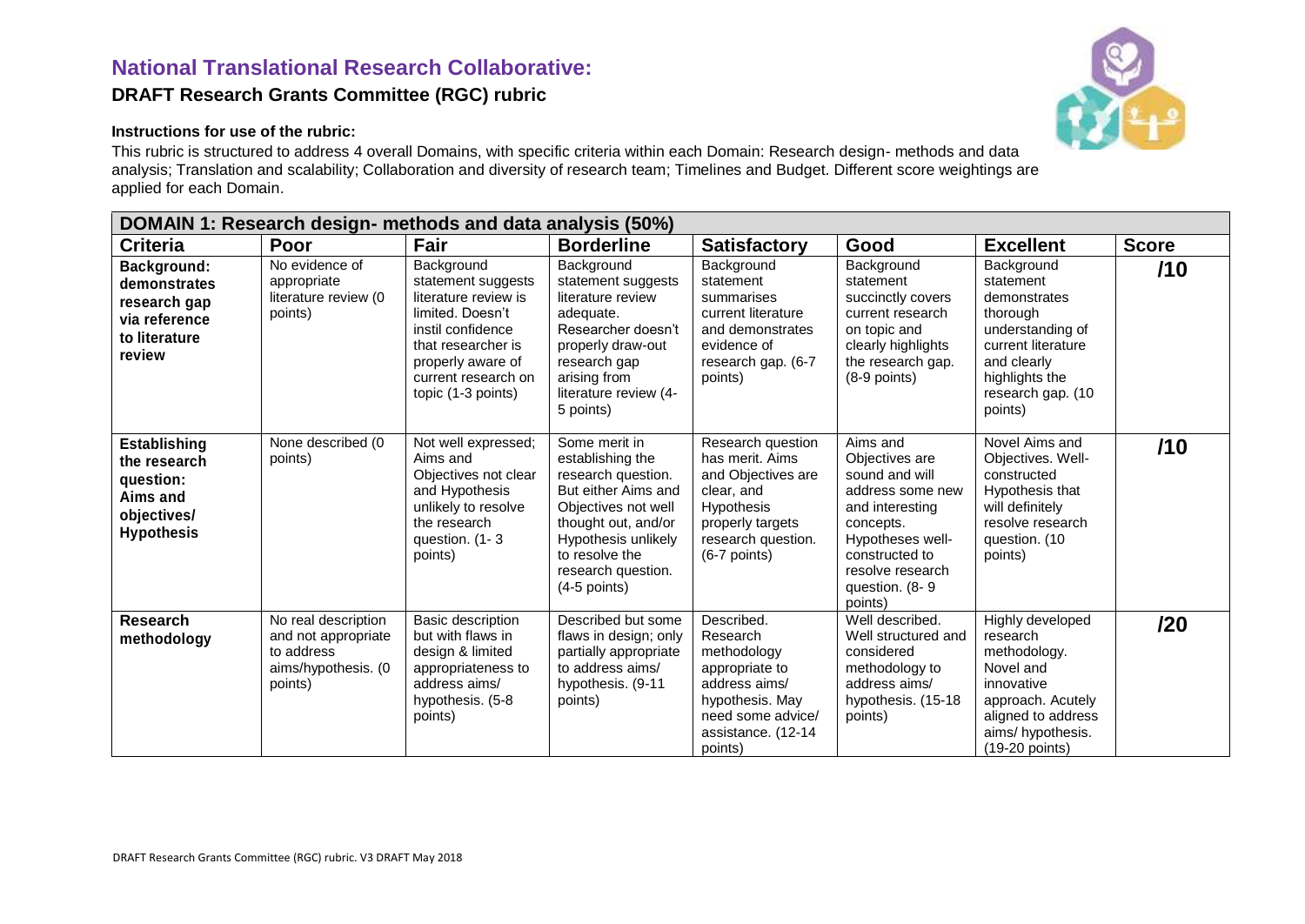## **National Translational Research Collaborative: DRAFT Research Grants Committee (RGC) rubric**

## **Instructions for use of the rubric:**

This rubric is structured to address 4 overall Domains, with specific criteria within each Domain: Research design- methods and data analysis; Translation and scalability; Collaboration and diversity of research team; Timelines and Budget. Different score weightings are applied for each Domain.

| DOMAIN 1: Research design- methods and data analysis (50%)                                       |                                                                                            |                                                                                                                                                                                           |                                                                                                                                                                                                               |                                                                                                                                                    |                                                                                                                                                                                         |                                                                                                                                                                |              |  |
|--------------------------------------------------------------------------------------------------|--------------------------------------------------------------------------------------------|-------------------------------------------------------------------------------------------------------------------------------------------------------------------------------------------|---------------------------------------------------------------------------------------------------------------------------------------------------------------------------------------------------------------|----------------------------------------------------------------------------------------------------------------------------------------------------|-----------------------------------------------------------------------------------------------------------------------------------------------------------------------------------------|----------------------------------------------------------------------------------------------------------------------------------------------------------------|--------------|--|
| <b>Criteria</b>                                                                                  | Poor                                                                                       | Fair                                                                                                                                                                                      | <b>Borderline</b>                                                                                                                                                                                             | <b>Satisfactory</b>                                                                                                                                | Good                                                                                                                                                                                    | <b>Excellent</b>                                                                                                                                               | <b>Score</b> |  |
| Background:<br>demonstrates<br>research gap<br>via reference<br>to literature<br>review          | No evidence of<br>appropriate<br>literature review (0<br>points)                           | Background<br>statement suggests<br>literature review is<br>limited. Doesn't<br>instil confidence<br>that researcher is<br>properly aware of<br>current research on<br>topic (1-3 points) | Background<br>statement suggests<br>literature review<br>adequate.<br>Researcher doesn't<br>properly draw-out<br>research gap<br>arising from<br>literature review (4-<br>5 points)                           | Background<br>statement<br>summarises<br>current literature<br>and demonstrates<br>evidence of<br>research gap. (6-7<br>points)                    | Background<br>statement<br>succinctly covers<br>current research<br>on topic and<br>clearly highlights<br>the research gap.<br>$(8-9$ points)                                           | Background<br>statement<br>demonstrates<br>thorough<br>understanding of<br>current literature<br>and clearly<br>highlights the<br>research gap. (10<br>points) | /10          |  |
| <b>Establishing</b><br>the research<br>question:<br>Aims and<br>objectives/<br><b>Hypothesis</b> | None described (0<br>points)                                                               | Not well expressed;<br>Aims and<br>Objectives not clear<br>and Hypothesis<br>unlikely to resolve<br>the research<br>question. (1-3<br>points)                                             | Some merit in<br>establishing the<br>research question.<br>But either Aims and<br>Objectives not well<br>thought out, and/or<br>Hypothesis unlikely<br>to resolve the<br>research question.<br>$(4-5$ points) | Research question<br>has merit. Aims<br>and Objectives are<br>clear, and<br>Hypothesis<br>properly targets<br>research question.<br>$(6-7$ points) | Aims and<br>Objectives are<br>sound and will<br>address some new<br>and interesting<br>concepts.<br>Hypotheses well-<br>constructed to<br>resolve research<br>question. (8-9<br>points) | Novel Aims and<br>Objectives. Well-<br>constructed<br>Hypothesis that<br>will definitely<br>resolve research<br>question. (10<br>points)                       | /10          |  |
| <b>Research</b><br>methodology                                                                   | No real description<br>and not appropriate<br>to address<br>aims/hypothesis. (0<br>points) | Basic description<br>but with flaws in<br>design & limited<br>appropriateness to<br>address aims/<br>hypothesis. (5-8<br>points)                                                          | Described but some<br>flaws in design; only<br>partially appropriate<br>to address aims/<br>hypothesis. (9-11<br>points)                                                                                      | Described.<br>Research<br>methodology<br>appropriate to<br>address aims/<br>hypothesis. May<br>need some advice/<br>assistance. (12-14<br>points)  | Well described.<br>Well structured and<br>considered<br>methodology to<br>address aims/<br>hypothesis. (15-18)<br>points)                                                               | Highly developed<br>research<br>methodology.<br>Novel and<br>innovative<br>approach. Acutely<br>aligned to address<br>aims/hypothesis.<br>(19-20 points)       | /20          |  |

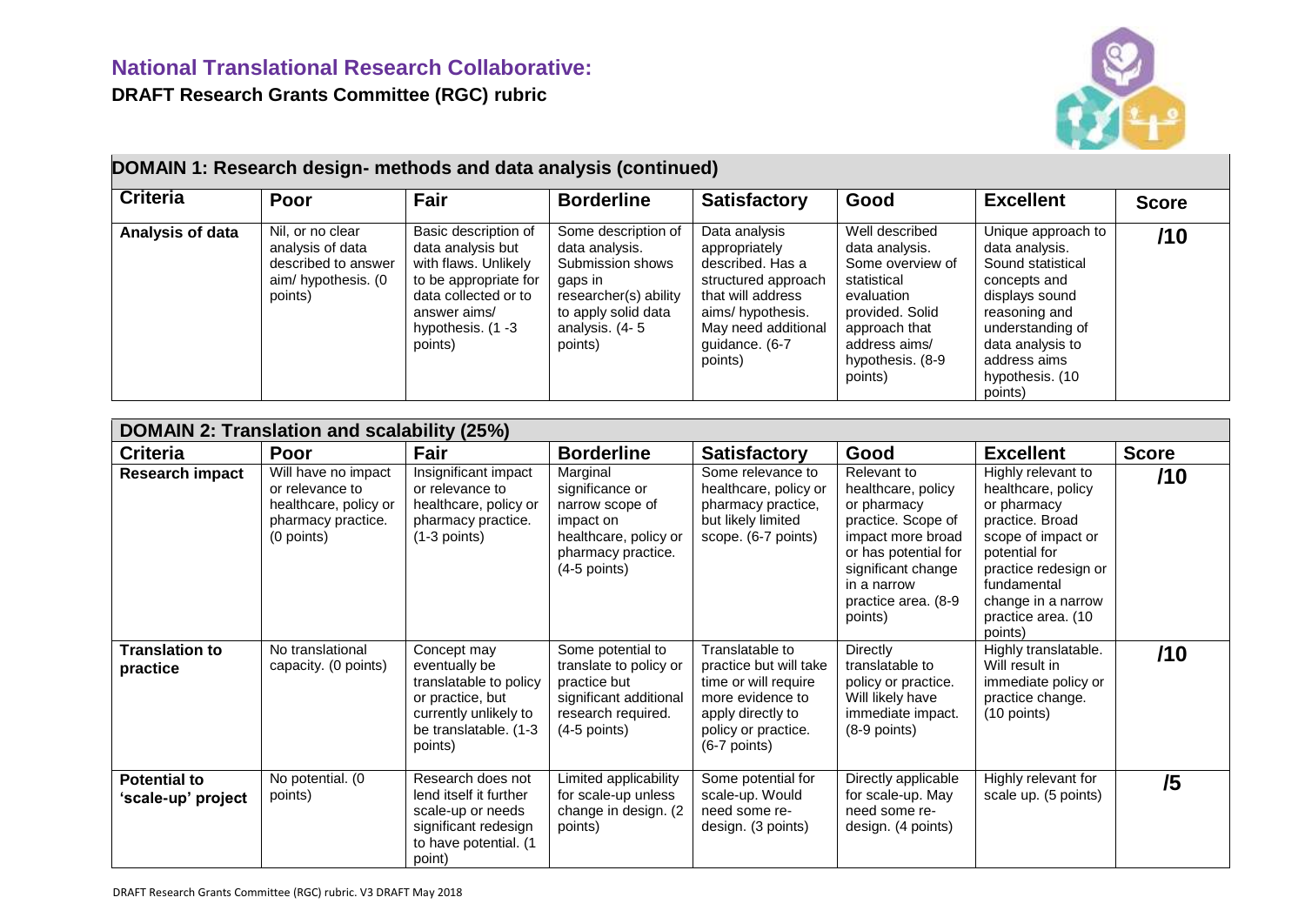

| DOMAIN 1: Research design- methods and data analysis (continued)<br><b>Criteria</b> | Poor                                                                                         | Fair                                                                                                                                                                 | <b>Borderline</b>                                                                                                                                 | <b>Satisfactory</b>                                                                                                                                                    | Good                                                                                                                                                                  | <b>Excellent</b>                                                                                                                                                                                   | <b>Score</b> |
|-------------------------------------------------------------------------------------|----------------------------------------------------------------------------------------------|----------------------------------------------------------------------------------------------------------------------------------------------------------------------|---------------------------------------------------------------------------------------------------------------------------------------------------|------------------------------------------------------------------------------------------------------------------------------------------------------------------------|-----------------------------------------------------------------------------------------------------------------------------------------------------------------------|----------------------------------------------------------------------------------------------------------------------------------------------------------------------------------------------------|--------------|
| Analysis of data                                                                    | Nil, or no clear<br>analysis of data<br>described to answer<br>aim/hypothesis. (0<br>points) | Basic description of<br>data analysis but<br>with flaws. Unlikely<br>to be appropriate for<br>data collected or to<br>answer aims/<br>hypothesis. $(1 -3$<br>points) | Some description of<br>data analysis.<br>Submission shows<br>gaps in<br>researcher(s) ability<br>to apply solid data<br>analysis. (4-5<br>points) | Data analysis<br>appropriately<br>described. Has a<br>structured approach<br>that will address<br>aims/hypothesis.<br>May need additional<br>guidance. (6-7<br>points) | Well described<br>data analysis.<br>Some overview of<br>statistical<br>evaluation<br>provided. Solid<br>approach that<br>address aims/<br>hypothesis. (8-9<br>points) | Unique approach to<br>data analysis.<br>Sound statistical<br>concepts and<br>displays sound<br>reasoning and<br>understanding of<br>data analysis to<br>address aims<br>hypothesis. (10<br>points) | /10          |

| <b>DOMAIN 2: Translation and scalability (25%)</b> |                                                                                                     |                                                                                                                                         |                                                                                                                               |                                                                                                                                                     |                                                                                                                                                                                            |                                                                                                                                                                                                                 |              |  |
|----------------------------------------------------|-----------------------------------------------------------------------------------------------------|-----------------------------------------------------------------------------------------------------------------------------------------|-------------------------------------------------------------------------------------------------------------------------------|-----------------------------------------------------------------------------------------------------------------------------------------------------|--------------------------------------------------------------------------------------------------------------------------------------------------------------------------------------------|-----------------------------------------------------------------------------------------------------------------------------------------------------------------------------------------------------------------|--------------|--|
| <b>Criteria</b>                                    | Poor                                                                                                | Fair                                                                                                                                    | <b>Borderline</b>                                                                                                             | <b>Satisfactory</b>                                                                                                                                 | Good                                                                                                                                                                                       | <b>Excellent</b>                                                                                                                                                                                                | <b>Score</b> |  |
| <b>Research impact</b>                             | Will have no impact<br>or relevance to<br>healthcare, policy or<br>pharmacy practice.<br>(0 points) | Insignificant impact<br>or relevance to<br>healthcare, policy or<br>pharmacy practice.<br>$(1-3$ points)                                | Marginal<br>significance or<br>narrow scope of<br>impact on<br>healthcare, policy or<br>pharmacy practice.<br>$(4-5$ points)  | Some relevance to<br>healthcare, policy or<br>pharmacy practice,<br>but likely limited<br>scope. (6-7 points)                                       | Relevant to<br>healthcare, policy<br>or pharmacy<br>practice. Scope of<br>impact more broad<br>or has potential for<br>significant change<br>in a narrow<br>practice area. (8-9<br>points) | Highly relevant to<br>healthcare, policy<br>or pharmacy<br>practice. Broad<br>scope of impact or<br>potential for<br>practice redesign or<br>fundamental<br>change in a narrow<br>practice area. (10<br>points) | /10          |  |
| <b>Translation to</b><br>practice                  | No translational<br>capacity. (0 points)                                                            | Concept may<br>eventually be<br>translatable to policy<br>or practice, but<br>currently unlikely to<br>be translatable. (1-3<br>points) | Some potential to<br>translate to policy or<br>practice but<br>significant additional<br>research required.<br>$(4-5$ points) | Translatable to<br>practice but will take<br>time or will require<br>more evidence to<br>apply directly to<br>policy or practice.<br>$(6-7$ points) | Directly<br>translatable to<br>policy or practice.<br>Will likely have<br>immediate impact.<br>$(8-9$ points)                                                                              | Highly translatable.<br>Will result in<br>immediate policy or<br>practice change.<br>$(10$ points)                                                                                                              | /10          |  |
| <b>Potential to</b><br>'scale-up' project          | No potential. (0<br>points)                                                                         | Research does not<br>lend itself it further<br>scale-up or needs<br>significant redesign<br>to have potential. (1<br>point)             | Limited applicability<br>for scale-up unless<br>change in design. (2)<br>points)                                              | Some potential for<br>scale-up. Would<br>need some re-<br>design. (3 points)                                                                        | Directly applicable<br>for scale-up. May<br>need some re-<br>design. (4 points)                                                                                                            | Highly relevant for<br>scale up. (5 points)                                                                                                                                                                     | /5           |  |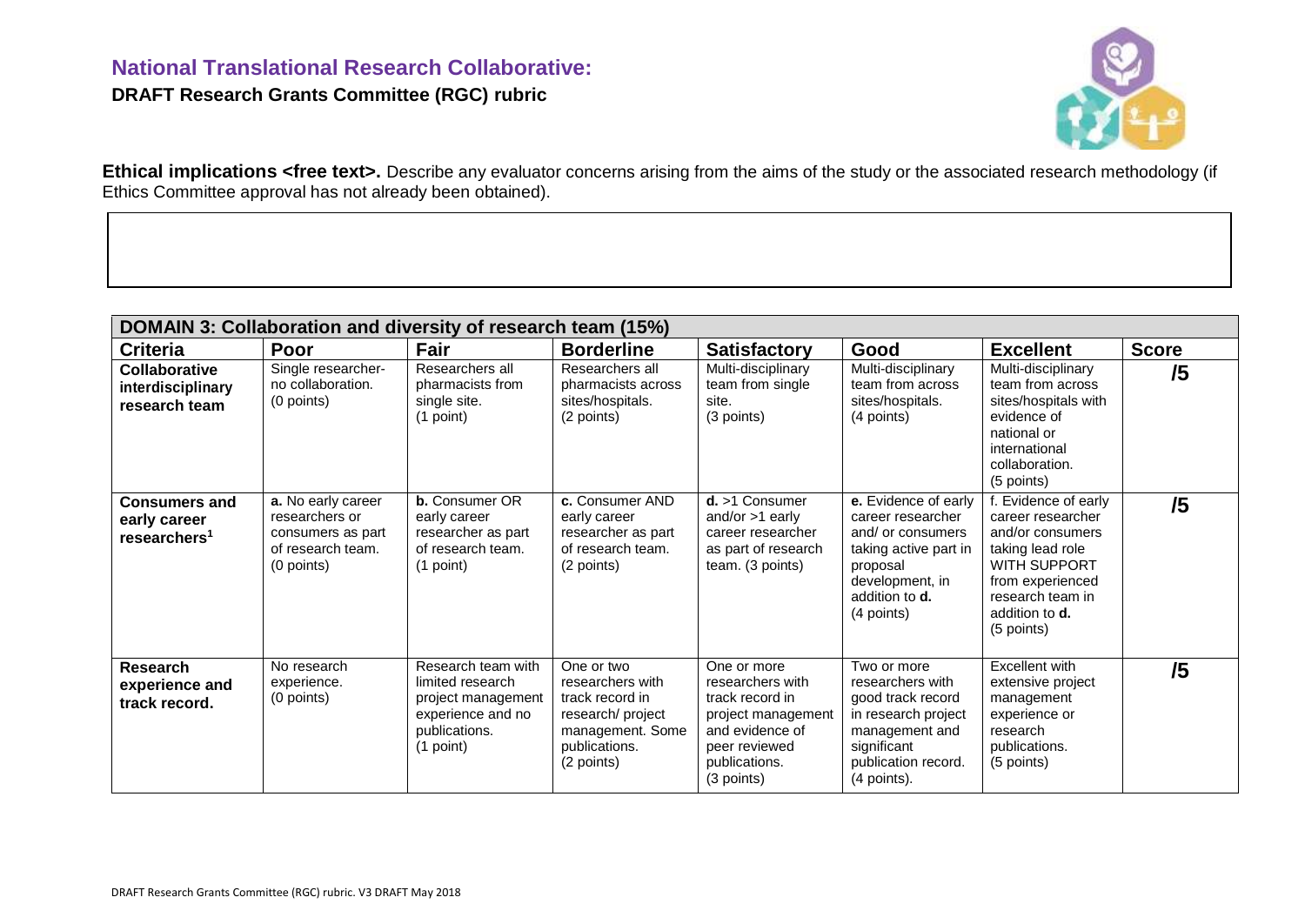## **National Translational Research Collaborative: DRAFT Research Grants Committee (RGC) rubric**



Ethical implications <free text>. Describe any evaluator concerns arising from the aims of the study or the associated research methodology (if Ethics Committee approval has not already been obtained).

| DOMAIN 3: Collaboration and diversity of research team (15%)     |                                                                                              |                                                                                                                 |                                                                                                                           |                                                                                                                                             |                                                                                                                                                               |                                                                                                                                                                                   |              |  |
|------------------------------------------------------------------|----------------------------------------------------------------------------------------------|-----------------------------------------------------------------------------------------------------------------|---------------------------------------------------------------------------------------------------------------------------|---------------------------------------------------------------------------------------------------------------------------------------------|---------------------------------------------------------------------------------------------------------------------------------------------------------------|-----------------------------------------------------------------------------------------------------------------------------------------------------------------------------------|--------------|--|
| <b>Criteria</b>                                                  | Poor                                                                                         | Fair                                                                                                            | <b>Borderline</b>                                                                                                         | <b>Satisfactory</b>                                                                                                                         | Good                                                                                                                                                          | <b>Excellent</b>                                                                                                                                                                  | <b>Score</b> |  |
| <b>Collaborative</b><br>interdisciplinary<br>research team       | Single researcher-<br>no collaboration.<br>(0 points)                                        | Researchers all<br>pharmacists from<br>single site.<br>(1 point)                                                | Researchers all<br>pharmacists across<br>sites/hospitals.<br>(2 points)                                                   | Multi-disciplinary<br>team from single<br>site.<br>(3 points)                                                                               | Multi-disciplinary<br>team from across<br>sites/hospitals.<br>(4 points)                                                                                      | Multi-disciplinary<br>team from across<br>sites/hospitals with<br>evidence of<br>national or<br>international<br>collaboration.<br>(5 points)                                     | /5           |  |
| <b>Consumers and</b><br>early career<br>researchers <sup>1</sup> | a. No early career<br>researchers or<br>consumers as part<br>of research team.<br>(0 points) | <b>b.</b> Consumer OR<br>early career<br>researcher as part<br>of research team.<br>$(1$ point)                 | c. Consumer AND<br>early career<br>researcher as part<br>of research team.<br>(2 points)                                  | $d. > 1$ Consumer<br>and/or $>1$ early<br>career researcher<br>as part of research<br>team. (3 points)                                      | e. Evidence of early<br>career researcher<br>and/ or consumers<br>taking active part in<br>proposal<br>development, in<br>addition to <b>d.</b><br>(4 points) | f. Evidence of early<br>career researcher<br>and/or consumers<br>taking lead role<br>WITH SUPPORT<br>from experienced<br>research team in<br>addition to <b>d</b> .<br>(5 points) | /5           |  |
| Research<br>experience and<br>track record.                      | No research<br>experience.<br>(0 points)                                                     | Research team with<br>limited research<br>project management<br>experience and no<br>publications.<br>(1 point) | One or two<br>researchers with<br>track record in<br>research/ project<br>management. Some<br>publications.<br>(2 points) | One or more<br>researchers with<br>track record in<br>project management<br>and evidence of<br>peer reviewed<br>publications.<br>(3 points) | Two or more<br>researchers with<br>good track record<br>in research project<br>management and<br>significant<br>publication record.<br>(4 points).            | Excellent with<br>extensive project<br>management<br>experience or<br>research<br>publications.<br>(5 points)                                                                     | /5           |  |